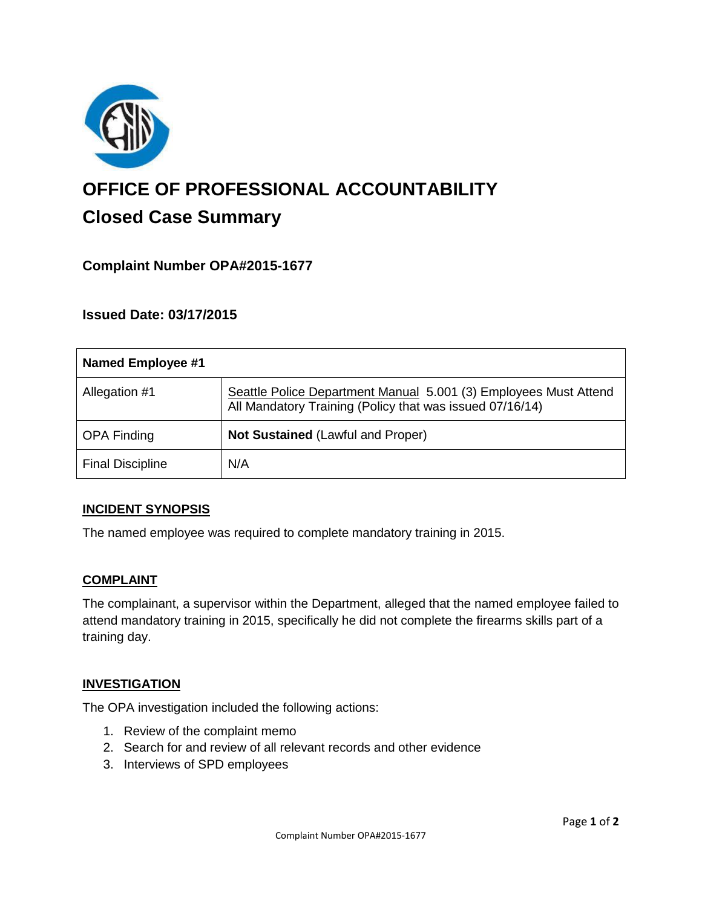

# **OFFICE OF PROFESSIONAL ACCOUNTABILITY Closed Case Summary**

# **Complaint Number OPA#2015-1677**

## **Issued Date: 03/17/2015**

| <b>Named Employee #1</b> |                                                                                                                              |
|--------------------------|------------------------------------------------------------------------------------------------------------------------------|
| Allegation #1            | Seattle Police Department Manual 5.001 (3) Employees Must Attend<br>All Mandatory Training (Policy that was issued 07/16/14) |
| <b>OPA Finding</b>       | <b>Not Sustained (Lawful and Proper)</b>                                                                                     |
| <b>Final Discipline</b>  | N/A                                                                                                                          |

#### **INCIDENT SYNOPSIS**

The named employee was required to complete mandatory training in 2015.

#### **COMPLAINT**

The complainant, a supervisor within the Department, alleged that the named employee failed to attend mandatory training in 2015, specifically he did not complete the firearms skills part of a training day.

#### **INVESTIGATION**

The OPA investigation included the following actions:

- 1. Review of the complaint memo
- 2. Search for and review of all relevant records and other evidence
- 3. Interviews of SPD employees